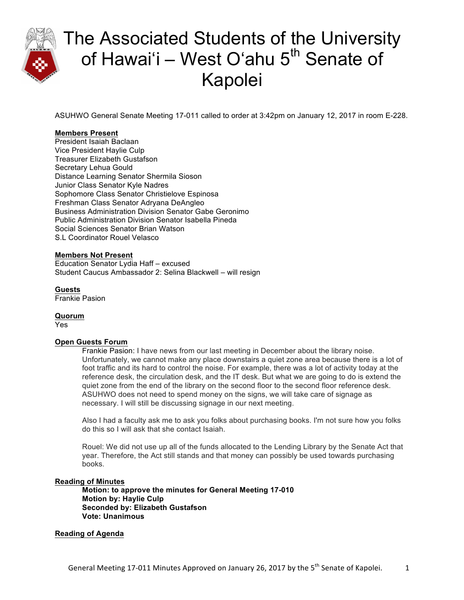

ASUHWO General Senate Meeting 17-011 called to order at 3:42pm on January 12, 2017 in room E-228.

### **Members Present**

President Isaiah Baclaan Vice President Haylie Culp Treasurer Elizabeth Gustafson Secretary Lehua Gould Distance Learning Senator Shermila Sioson Junior Class Senator Kyle Nadres Sophomore Class Senator Christielove Espinosa Freshman Class Senator Adryana DeAngleo Business Administration Division Senator Gabe Geronimo Public Administration Division Senator Isabella Pineda Social Sciences Senator Brian Watson S.L Coordinator Rouel Velasco

#### **Members Not Present**

Education Senator Lydia Haff – excused Student Caucus Ambassador 2: Selina Blackwell – will resign

**Guests** Frankie Pasion

**Quorum** Yes

#### **Open Guests Forum**

Frankie Pasion: I have news from our last meeting in December about the library noise. Unfortunately, we cannot make any place downstairs a quiet zone area because there is a lot of foot traffic and its hard to control the noise. For example, there was a lot of activity today at the reference desk, the circulation desk, and the IT desk. But what we are going to do is extend the quiet zone from the end of the library on the second floor to the second floor reference desk. ASUHWO does not need to spend money on the signs, we will take care of signage as necessary. I will still be discussing signage in our next meeting.

Also I had a faculty ask me to ask you folks about purchasing books. I'm not sure how you folks do this so I will ask that she contact Isaiah.

Rouel: We did not use up all of the funds allocated to the Lending Library by the Senate Act that year. Therefore, the Act still stands and that money can possibly be used towards purchasing books.

#### **Reading of Minutes**

**Motion: to approve the minutes for General Meeting 17-010 Motion by: Haylie Culp Seconded by: Elizabeth Gustafson Vote: Unanimous** 

#### **Reading of Agenda**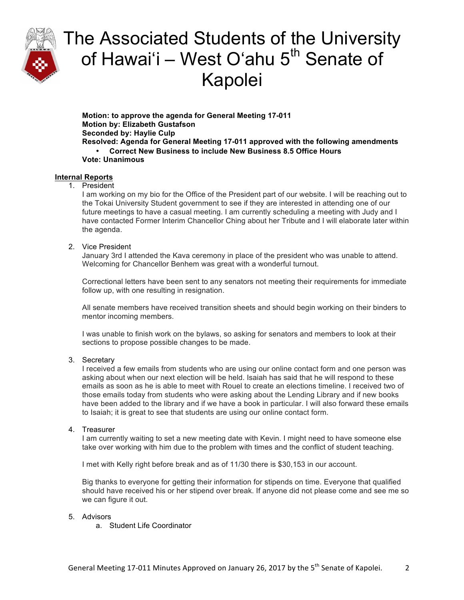

**Motion: to approve the agenda for General Meeting 17-011 Motion by: Elizabeth Gustafson Seconded by: Haylie Culp Resolved: Agenda for General Meeting 17-011 approved with the following amendments** • **Correct New Business to include New Business 8.5 Office Hours Vote: Unanimous**

### **Internal Reports**

### 1. President

I am working on my bio for the Office of the President part of our website. I will be reaching out to the Tokai University Student government to see if they are interested in attending one of our future meetings to have a casual meeting. I am currently scheduling a meeting with Judy and I have contacted Former Interim Chancellor Ching about her Tribute and I will elaborate later within the agenda.

### 2. Vice President

January 3rd I attended the Kava ceremony in place of the president who was unable to attend. Welcoming for Chancellor Benhem was great with a wonderful turnout.

Correctional letters have been sent to any senators not meeting their requirements for immediate follow up, with one resulting in resignation.

All senate members have received transition sheets and should begin working on their binders to mentor incoming members.

I was unable to finish work on the bylaws, so asking for senators and members to look at their sections to propose possible changes to be made.

#### 3. Secretary

I received a few emails from students who are using our online contact form and one person was asking about when our next election will be held. Isaiah has said that he will respond to these emails as soon as he is able to meet with Rouel to create an elections timeline. I received two of those emails today from students who were asking about the Lending Library and if new books have been added to the library and if we have a book in particular. I will also forward these emails to Isaiah; it is great to see that students are using our online contact form.

#### 4. Treasurer

I am currently waiting to set a new meeting date with Kevin. I might need to have someone else take over working with him due to the problem with times and the conflict of student teaching.

I met with Kelly right before break and as of 11/30 there is \$30,153 in our account.

Big thanks to everyone for getting their information for stipends on time. Everyone that qualified should have received his or her stipend over break. If anyone did not please come and see me so we can figure it out.

### 5. Advisors

a. Student Life Coordinator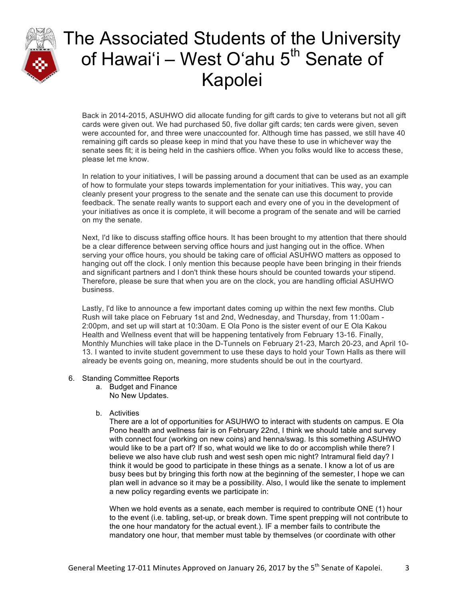

Back in 2014-2015, ASUHWO did allocate funding for gift cards to give to veterans but not all gift cards were given out. We had purchased 50, five dollar gift cards; ten cards were given, seven were accounted for, and three were unaccounted for. Although time has passed, we still have 40 remaining gift cards so please keep in mind that you have these to use in whichever way the senate sees fit; it is being held in the cashiers office. When you folks would like to access these, please let me know.

In relation to your initiatives, I will be passing around a document that can be used as an example of how to formulate your steps towards implementation for your initiatives. This way, you can cleanly present your progress to the senate and the senate can use this document to provide feedback. The senate really wants to support each and every one of you in the development of your initiatives as once it is complete, it will become a program of the senate and will be carried on my the senate.

Next, I'd like to discuss staffing office hours. It has been brought to my attention that there should be a clear difference between serving office hours and just hanging out in the office. When serving your office hours, you should be taking care of official ASUHWO matters as opposed to hanging out off the clock. I only mention this because people have been bringing in their friends and significant partners and I don't think these hours should be counted towards your stipend. Therefore, please be sure that when you are on the clock, you are handling official ASUHWO business.

Lastly, I'd like to announce a few important dates coming up within the next few months. Club Rush will take place on February 1st and 2nd, Wednesday, and Thursday, from 11:00am - 2:00pm, and set up will start at 10:30am. E Ola Pono is the sister event of our E Ola Kakou Health and Wellness event that will be happening tentatively from February 13-16. Finally, Monthly Munchies will take place in the D-Tunnels on February 21-23, March 20-23, and April 10- 13. I wanted to invite student government to use these days to hold your Town Halls as there will already be events going on, meaning, more students should be out in the courtyard.

- 6. Standing Committee Reports
	- a. Budget and Finance
		- No New Updates.
	- b. Activities

There are a lot of opportunities for ASUHWO to interact with students on campus. E Ola Pono health and wellness fair is on February 22nd, I think we should table and survey with connect four (working on new coins) and henna/swag. Is this something ASUHWO would like to be a part of? If so, what would we like to do or accomplish while there? I believe we also have club rush and west sesh open mic night? Intramural field day? I think it would be good to participate in these things as a senate. I know a lot of us are busy bees but by bringing this forth now at the beginning of the semester, I hope we can plan well in advance so it may be a possibility. Also, I would like the senate to implement a new policy regarding events we participate in:

When we hold events as a senate, each member is required to contribute ONE (1) hour to the event (i.e. tabling, set-up, or break down. Time spent prepping will not contribute to the one hour mandatory for the actual event.). IF a member fails to contribute the mandatory one hour, that member must table by themselves (or coordinate with other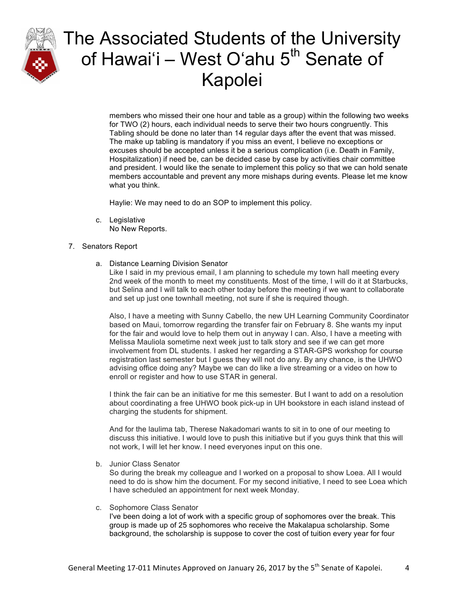

members who missed their one hour and table as a group) within the following two weeks for TWO (2) hours, each individual needs to serve their two hours congruently. This Tabling should be done no later than 14 regular days after the event that was missed. The make up tabling is mandatory if you miss an event, I believe no exceptions or excuses should be accepted unless it be a serious complication (i.e. Death in Family, Hospitalization) if need be, can be decided case by case by activities chair committee and president. I would like the senate to implement this policy so that we can hold senate members accountable and prevent any more mishaps during events. Please let me know what you think.

Haylie: We may need to do an SOP to implement this policy.

c. Legislative No New Reports.

### 7. Senators Report

a. Distance Learning Division Senator

Like I said in my previous email, I am planning to schedule my town hall meeting every 2nd week of the month to meet my constituents. Most of the time, I will do it at Starbucks, but Selina and I will talk to each other today before the meeting if we want to collaborate and set up just one townhall meeting, not sure if she is required though.

Also, I have a meeting with Sunny Cabello, the new UH Learning Community Coordinator based on Maui, tomorrow regarding the transfer fair on February 8. She wants my input for the fair and would love to help them out in anyway I can. Also, I have a meeting with Melissa Mauliola sometime next week just to talk story and see if we can get more involvement from DL students. I asked her regarding a STAR-GPS workshop for course registration last semester but I guess they will not do any. By any chance, is the UHWO advising office doing any? Maybe we can do like a live streaming or a video on how to enroll or register and how to use STAR in general.

I think the fair can be an initiative for me this semester. But I want to add on a resolution about coordinating a free UHWO book pick-up in UH bookstore in each island instead of charging the students for shipment.

And for the laulima tab, Therese Nakadomari wants to sit in to one of our meeting to discuss this initiative. I would love to push this initiative but if you guys think that this will not work, I will let her know. I need everyones input on this one.

b. Junior Class Senator

So during the break my colleague and I worked on a proposal to show Loea. All I would need to do is show him the document. For my second initiative, I need to see Loea which I have scheduled an appointment for next week Monday.

c. Sophomore Class Senator

I've been doing a lot of work with a specific group of sophomores over the break. This group is made up of 25 sophomores who receive the Makalapua scholarship. Some background, the scholarship is suppose to cover the cost of tuition every year for four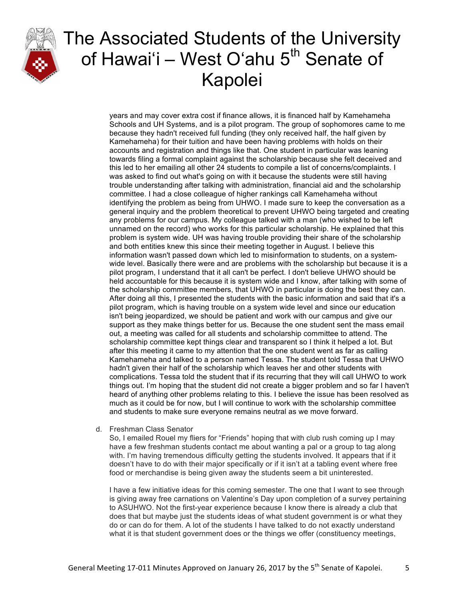

years and may cover extra cost if finance allows, it is financed half by Kamehameha Schools and UH Systems, and is a pilot program. The group of sophomores came to me because they hadn't received full funding (they only received half, the half given by Kamehameha) for their tuition and have been having problems with holds on their accounts and registration and things like that. One student in particular was leaning towards filing a formal complaint against the scholarship because she felt deceived and this led to her emailing all other 24 students to compile a list of concerns/complaints. I was asked to find out what's going on with it because the students were still having trouble understanding after talking with administration, financial aid and the scholarship committee. I had a close colleague of higher rankings call Kamehameha without identifying the problem as being from UHWO. I made sure to keep the conversation as a general inquiry and the problem theoretical to prevent UHWO being targeted and creating any problems for our campus. My colleague talked with a man (who wished to be left unnamed on the record) who works for this particular scholarship. He explained that this problem is system wide. UH was having trouble providing their share of the scholarship and both entities knew this since their meeting together in August. I believe this information wasn't passed down which led to misinformation to students, on a systemwide level. Basically there were and are problems with the scholarship but because it is a pilot program, I understand that it all can't be perfect. I don't believe UHWO should be held accountable for this because it is system wide and I know, after talking with some of the scholarship committee members, that UHWO in particular is doing the best they can. After doing all this, I presented the students with the basic information and said that it's a pilot program, which is having trouble on a system wide level and since our education isn't being jeopardized, we should be patient and work with our campus and give our support as they make things better for us. Because the one student sent the mass email out, a meeting was called for all students and scholarship committee to attend. The scholarship committee kept things clear and transparent so I think it helped a lot. But after this meeting it came to my attention that the one student went as far as calling Kamehameha and talked to a person named Tessa. The student told Tessa that UHWO hadn't given their half of the scholarship which leaves her and other students with complications. Tessa told the student that if its recurring that they will call UHWO to work things out. I'm hoping that the student did not create a bigger problem and so far I haven't heard of anything other problems relating to this. I believe the issue has been resolved as much as it could be for now, but I will continue to work with the scholarship committee and students to make sure everyone remains neutral as we move forward.

d. Freshman Class Senator

So, I emailed Rouel my fliers for "Friends" hoping that with club rush coming up I may have a few freshman students contact me about wanting a pal or a group to tag along with. I'm having tremendous difficulty getting the students involved. It appears that if it doesn't have to do with their major specifically or if it isn't at a tabling event where free food or merchandise is being given away the students seem a bit uninterested.

I have a few initiative ideas for this coming semester. The one that I want to see through is giving away free carnations on Valentine's Day upon completion of a survey pertaining to ASUHWO. Not the first-year experience because I know there is already a club that does that but maybe just the students ideas of what student government is or what they do or can do for them. A lot of the students I have talked to do not exactly understand what it is that student government does or the things we offer (constituency meetings,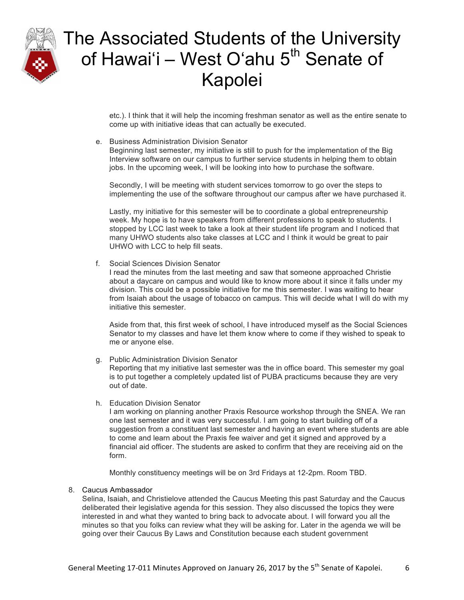

etc.). I think that it will help the incoming freshman senator as well as the entire senate to come up with initiative ideas that can actually be executed.

e. Business Administration Division Senator

Beginning last semester, my initiative is still to push for the implementation of the Big Interview software on our campus to further service students in helping them to obtain jobs. In the upcoming week, I will be looking into how to purchase the software.

Secondly, I will be meeting with student services tomorrow to go over the steps to implementing the use of the software throughout our campus after we have purchased it.

Lastly, my initiative for this semester will be to coordinate a global entrepreneurship week. My hope is to have speakers from different professions to speak to students. I stopped by LCC last week to take a look at their student life program and I noticed that many UHWO students also take classes at LCC and I think it would be great to pair UHWO with LCC to help fill seats.

f. Social Sciences Division Senator

I read the minutes from the last meeting and saw that someone approached Christie about a daycare on campus and would like to know more about it since it falls under my division. This could be a possible initiative for me this semester. I was waiting to hear from Isaiah about the usage of tobacco on campus. This will decide what I will do with my initiative this semester.

Aside from that, this first week of school, I have introduced myself as the Social Sciences Senator to my classes and have let them know where to come if they wished to speak to me or anyone else.

- g. Public Administration Division Senator Reporting that my initiative last semester was the in office board. This semester my goal is to put together a completely updated list of PUBA practicums because they are very out of date.
- h. Education Division Senator

I am working on planning another Praxis Resource workshop through the SNEA. We ran one last semester and it was very successful. I am going to start building off of a suggestion from a constituent last semester and having an event where students are able to come and learn about the Praxis fee waiver and get it signed and approved by a financial aid officer. The students are asked to confirm that they are receiving aid on the form.

Monthly constituency meetings will be on 3rd Fridays at 12-2pm. Room TBD.

#### 8. Caucus Ambassador

Selina, Isaiah, and Christielove attended the Caucus Meeting this past Saturday and the Caucus deliberated their legislative agenda for this session. They also discussed the topics they were interested in and what they wanted to bring back to advocate about. I will forward you all the minutes so that you folks can review what they will be asking for. Later in the agenda we will be going over their Caucus By Laws and Constitution because each student government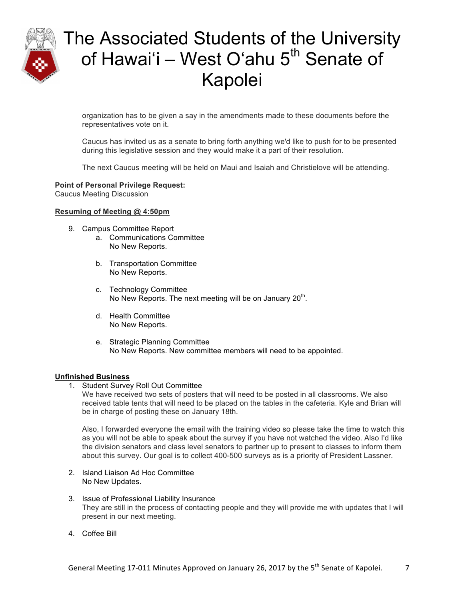

organization has to be given a say in the amendments made to these documents before the representatives vote on it.

Caucus has invited us as a senate to bring forth anything we'd like to push for to be presented during this legislative session and they would make it a part of their resolution.

The next Caucus meeting will be held on Maui and Isaiah and Christielove will be attending.

### **Point of Personal Privilege Request:**

Caucus Meeting Discussion

#### **Resuming of Meeting @ 4:50pm**

- 9. Campus Committee Report
	- a. Communications Committee No New Reports.
	- b. Transportation Committee No New Reports.
	- c. Technology Committee No New Reports. The next meeting will be on January  $20<sup>th</sup>$ .
	- d. Health Committee No New Reports.
	- e. Strategic Planning Committee No New Reports. New committee members will need to be appointed.

#### **Unfinished Business**

1. Student Survey Roll Out Committee

We have received two sets of posters that will need to be posted in all classrooms. We also received table tents that will need to be placed on the tables in the cafeteria. Kyle and Brian will be in charge of posting these on January 18th.

Also, I forwarded everyone the email with the training video so please take the time to watch this as you will not be able to speak about the survey if you have not watched the video. Also I'd like the division senators and class level senators to partner up to present to classes to inform them about this survey. Our goal is to collect 400-500 surveys as is a priority of President Lassner.

- 2. Island Liaison Ad Hoc Committee No New Updates.
- 3. Issue of Professional Liability Insurance They are still in the process of contacting people and they will provide me with updates that I will present in our next meeting.
- 4. Coffee Bill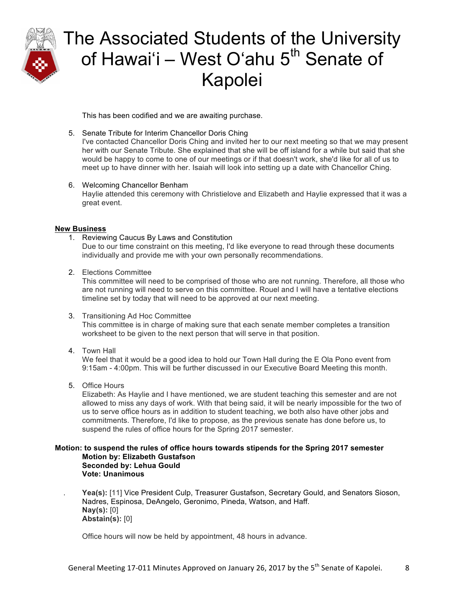

This has been codified and we are awaiting purchase.

5. Senate Tribute for Interim Chancellor Doris Ching

I've contacted Chancellor Doris Ching and invited her to our next meeting so that we may present her with our Senate Tribute. She explained that she will be off island for a while but said that she would be happy to come to one of our meetings or if that doesn't work, she'd like for all of us to meet up to have dinner with her. Isaiah will look into setting up a date with Chancellor Ching.

6. Welcoming Chancellor Benham Haylie attended this ceremony with Christielove and Elizabeth and Haylie expressed that it was a great event.

### **New Business**

- 1. Reviewing Caucus By Laws and Constitution Due to our time constraint on this meeting, I'd like everyone to read through these documents individually and provide me with your own personally recommendations.
- 2. Elections Committee

This committee will need to be comprised of those who are not running. Therefore, all those who are not running will need to serve on this committee. Rouel and I will have a tentative elections timeline set by today that will need to be approved at our next meeting.

3. Transitioning Ad Hoc Committee

This committee is in charge of making sure that each senate member completes a transition worksheet to be given to the next person that will serve in that position.

4. Town Hall

We feel that it would be a good idea to hold our Town Hall during the E Ola Pono event from 9:15am - 4:00pm. This will be further discussed in our Executive Board Meeting this month.

5. Office Hours

Elizabeth: As Haylie and I have mentioned, we are student teaching this semester and are not allowed to miss any days of work. With that being said, it will be nearly impossible for the two of us to serve office hours as in addition to student teaching, we both also have other jobs and commitments. Therefore, I'd like to propose, as the previous senate has done before us, to suspend the rules of office hours for the Spring 2017 semester.

#### **Motion: to suspend the rules of office hours towards stipends for the Spring 2017 semester Motion by: Elizabeth Gustafson Seconded by: Lehua Gould Vote: Unanimous**

. **Yea(s):** [11] Vice President Culp, Treasurer Gustafson, Secretary Gould, and Senators Sioson, Nadres, Espinosa, DeAngelo, Geronimo, Pineda, Watson, and Haff. **Nay(s):** [0] **Abstain(s):** [0]

Office hours will now be held by appointment, 48 hours in advance.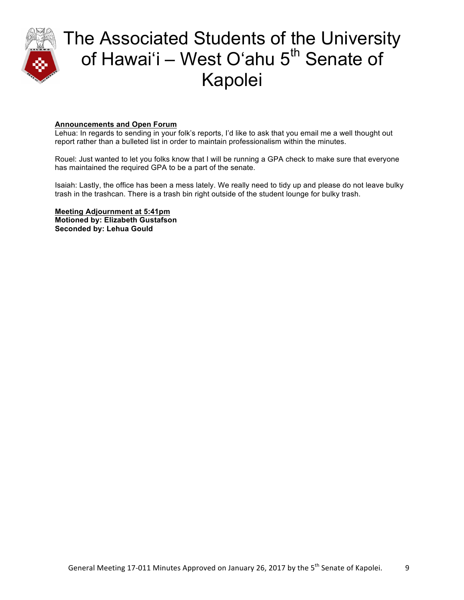

### **Announcements and Open Forum**

Lehua: In regards to sending in your folk's reports, I'd like to ask that you email me a well thought out report rather than a bulleted list in order to maintain professionalism within the minutes.

Rouel: Just wanted to let you folks know that I will be running a GPA check to make sure that everyone has maintained the required GPA to be a part of the senate.

Isaiah: Lastly, the office has been a mess lately. We really need to tidy up and please do not leave bulky trash in the trashcan. There is a trash bin right outside of the student lounge for bulky trash.

**Meeting Adjournment at 5:41pm Motioned by: Elizabeth Gustafson Seconded by: Lehua Gould**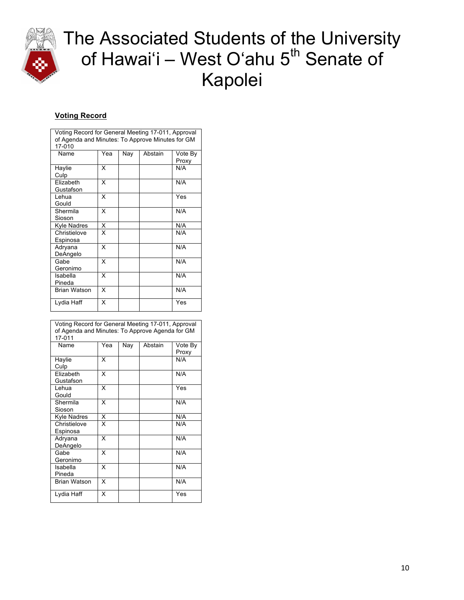

## **Voting Record**

| Voting Record for General Meeting 17-011, Approval |     |     |         |         |  |  |  |
|----------------------------------------------------|-----|-----|---------|---------|--|--|--|
| of Agenda and Minutes: To Approve Minutes for GM   |     |     |         |         |  |  |  |
| 17-010                                             |     |     |         |         |  |  |  |
| Name                                               | Yea | Nay | Abstain | Vote By |  |  |  |
|                                                    |     |     |         | Proxy   |  |  |  |
| Haylie                                             | x   |     |         | N/A     |  |  |  |
| Culp                                               |     |     |         |         |  |  |  |
| Elizabeth                                          | x   |     |         | N/A     |  |  |  |
| Gustafson                                          |     |     |         |         |  |  |  |
| Lehua                                              | x   |     |         | Yes     |  |  |  |
| Gould                                              |     |     |         |         |  |  |  |
| Shermila                                           | X   |     |         | N/A     |  |  |  |
| Sioson                                             |     |     |         |         |  |  |  |
| Kyle Nadres                                        | X   |     |         | N/A     |  |  |  |
| Christielove                                       | X   |     |         | N/A     |  |  |  |
| Espinosa                                           |     |     |         |         |  |  |  |
| Adryana                                            | X   |     |         | N/A     |  |  |  |
| DeAngelo                                           |     |     |         |         |  |  |  |
| Gabe                                               | X   |     |         | N/A     |  |  |  |
| Geronimo                                           |     |     |         |         |  |  |  |
| Isabella                                           | X   |     |         | N/A     |  |  |  |
| Pineda                                             |     |     |         |         |  |  |  |
| <b>Brian Watson</b>                                | X   |     |         | N/A     |  |  |  |
|                                                    |     |     |         |         |  |  |  |
| Lydia Haff                                         | X   |     |         | Yes     |  |  |  |
|                                                    |     |     |         |         |  |  |  |

| Voting Record for General Meeting 17-011, Approval<br>of Agenda and Minutes: To Approve Agenda for GM<br>17-011 |     |     |         |                  |  |  |
|-----------------------------------------------------------------------------------------------------------------|-----|-----|---------|------------------|--|--|
| Name                                                                                                            | Yea | Nay | Abstain | Vote By<br>Proxy |  |  |
| Haylie<br>Culp                                                                                                  | x   |     |         | N/A              |  |  |
| Elizabeth<br>Gustafson                                                                                          | X   |     |         | N/A              |  |  |
| Lehua<br>Gould                                                                                                  | X   |     |         | Yes              |  |  |
| Shermila<br>Sioson                                                                                              | x   |     |         | N/A              |  |  |
| Kyle Nadres                                                                                                     | X   |     |         | N/A              |  |  |
| Christielove<br>Espinosa                                                                                        | x   |     |         | N/A              |  |  |
| Adryana<br>DeAngelo                                                                                             | x   |     |         | N/A              |  |  |
| Gabe<br>Geronimo                                                                                                | X   |     |         | N/A              |  |  |
| Isabella<br>Pineda                                                                                              | X   |     |         | N/A              |  |  |
| <b>Brian Watson</b>                                                                                             | X   |     |         | N/A              |  |  |
| Lydia Haff                                                                                                      | x   |     |         | Yes              |  |  |